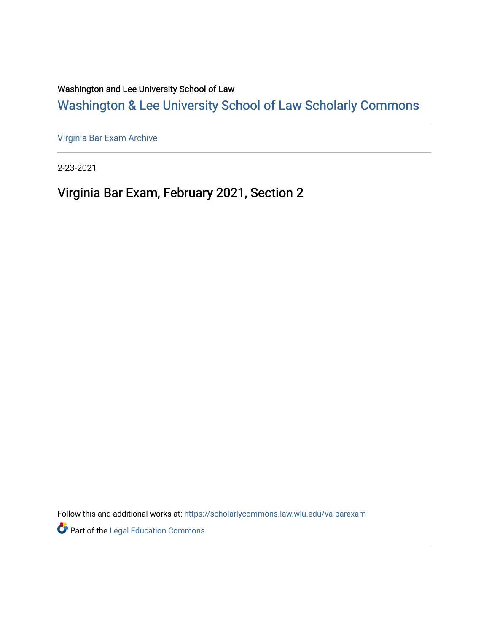Washington and Lee University School of Law

# [Washington & Lee University School of Law Scholarly Commons](https://scholarlycommons.law.wlu.edu/)

[Virginia Bar Exam Archive](https://scholarlycommons.law.wlu.edu/va-barexam)

2-23-2021

# Virginia Bar Exam, February 2021, Section 2

Follow this and additional works at: [https://scholarlycommons.law.wlu.edu/va-barexam](https://scholarlycommons.law.wlu.edu/va-barexam?utm_source=scholarlycommons.law.wlu.edu%2Fva-barexam%2F214&utm_medium=PDF&utm_campaign=PDFCoverPages) 

**Part of the Legal Education Commons**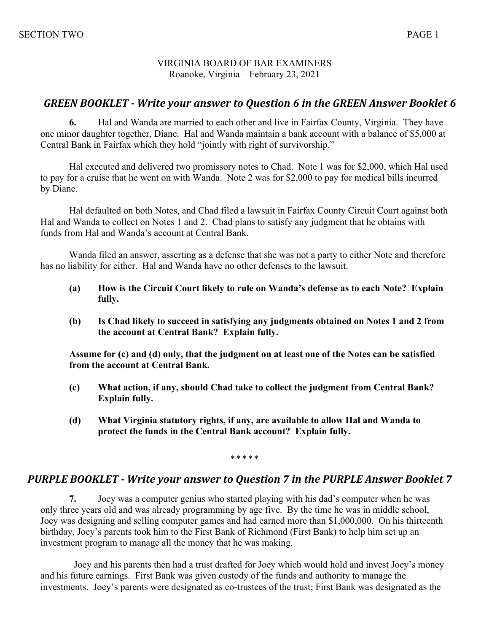#### VIRGINIA BOARD OF BAR EXAMINERS Roanoke, Virginia – February 23, 2021

#### **GREEN BOOKLET** - Write your answer to Question 6 in the GREEN Answer Booklet 6

**6.** Hal and Wanda are married to each other and live in Fairfax County, Virginia. They have one minor daughter together, Diane. Hal and Wanda maintain a bank account with a balance of \$5,000 at Central Bank in Fairfax which they hold "jointly with right of survivorship."

Hal executed and delivered two promissory notes to Chad. Note 1 was for \$2,000, which Hal used to pay for a cruise that he went on with Wanda. Note 2 was for \$2,000 to pay for medical bills incurred by Diane.

Hal defaulted on both Notes, and Chad filed a lawsuit in Fairfax County Circuit Court against both Hal and Wanda to collect on Notes 1 and 2. Chad plans to satisfy any judgment that he obtains with funds from Hal and Wanda's account at Central Bank.

Wanda filed an answer, asserting as a defense that she was not a party to either Note and therefore has no liability for either. Hal and Wanda have no other defenses to the lawsuit.

- **(a) How is the Circuit Court likely to rule on Wanda's defense as to each Note? Explain fully.**
- **(b) Is Chad likely to succeed in satisfying any judgments obtained on Notes 1 and 2 from the account at Central Bank? Explain fully.**

**Assume for (c) and (d) only, that the judgment on at least one of the Notes can be satisfied from the account at Central Bank.**

- **(c) What action, if any, should Chad take to collect the judgment from Central Bank? Explain fully.**
- **(d) What Virginia statutory rights, if any, are available to allow Hal and Wanda to protect the funds in the Central Bank account? Explain fully.**

**\* \* \* \* \***

#### **PURPLE BOOKLET** - Write your answer to Question 7 in the PURPLE Answer Booklet 7

**7.** Joey was a computer genius who started playing with his dad's computer when he was only three years old and was already programming by age five. By the time he was in middle school, Joey was designing and selling computer games and had earned more than \$1,000,000. On his thirteenth birthday, Joey's parents took him to the First Bank of Richmond (First Bank) to help him set up an investment program to manage all the money that he was making.

 Joey and his parents then had a trust drafted for Joey which would hold and invest Joey's money and his future earnings. First Bank was given custody of the funds and authority to manage the investments. Joey's parents were designated as co-trustees of the trust; First Bank was designated as the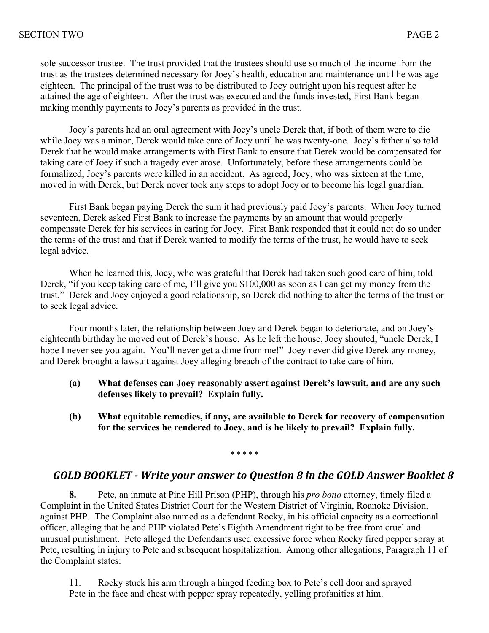sole successor trustee. The trust provided that the trustees should use so much of the income from the trust as the trustees determined necessary for Joey's health, education and maintenance until he was age eighteen. The principal of the trust was to be distributed to Joey outright upon his request after he attained the age of eighteen. After the trust was executed and the funds invested, First Bank began making monthly payments to Joey's parents as provided in the trust.

Joey's parents had an oral agreement with Joey's uncle Derek that, if both of them were to die while Joey was a minor, Derek would take care of Joey until he was twenty-one. Joey's father also told Derek that he would make arrangements with First Bank to ensure that Derek would be compensated for taking care of Joey if such a tragedy ever arose. Unfortunately, before these arrangements could be formalized, Joey's parents were killed in an accident. As agreed, Joey, who was sixteen at the time, moved in with Derek, but Derek never took any steps to adopt Joey or to become his legal guardian.

First Bank began paying Derek the sum it had previously paid Joey's parents. When Joey turned seventeen, Derek asked First Bank to increase the payments by an amount that would properly compensate Derek for his services in caring for Joey. First Bank responded that it could not do so under the terms of the trust and that if Derek wanted to modify the terms of the trust, he would have to seek legal advice.

When he learned this, Joey, who was grateful that Derek had taken such good care of him, told Derek, "if you keep taking care of me, I'll give you \$100,000 as soon as I can get my money from the trust." Derek and Joey enjoyed a good relationship, so Derek did nothing to alter the terms of the trust or to seek legal advice.

Four months later, the relationship between Joey and Derek began to deteriorate, and on Joey's eighteenth birthday he moved out of Derek's house. As he left the house, Joey shouted, "uncle Derek, I hope I never see you again. You'll never get a dime from me!" Joey never did give Derek any money, and Derek brought a lawsuit against Joey alleging breach of the contract to take care of him.

- **(a) What defenses can Joey reasonably assert against Derek's lawsuit, and are any such defenses likely to prevail? Explain fully.**
- **(b) What equitable remedies, if any, are available to Derek for recovery of compensation for the services he rendered to Joey, and is he likely to prevail? Explain fully.**

**\* \* \* \* \***

### GOLD BOOKLET - Write your answer to Question 8 in the GOLD Answer Booklet 8

**8.** Pete, an inmate at Pine Hill Prison (PHP), through his *pro bono* attorney, timely filed a Complaint in the United States District Court for the Western District of Virginia, Roanoke Division, against PHP. The Complaint also named as a defendant Rocky, in his official capacity as a correctional officer, alleging that he and PHP violated Pete's Eighth Amendment right to be free from cruel and unusual punishment. Pete alleged the Defendants used excessive force when Rocky fired pepper spray at Pete, resulting in injury to Pete and subsequent hospitalization. Among other allegations, Paragraph 11 of the Complaint states:

11. Rocky stuck his arm through a hinged feeding box to Pete's cell door and sprayed Pete in the face and chest with pepper spray repeatedly, yelling profanities at him.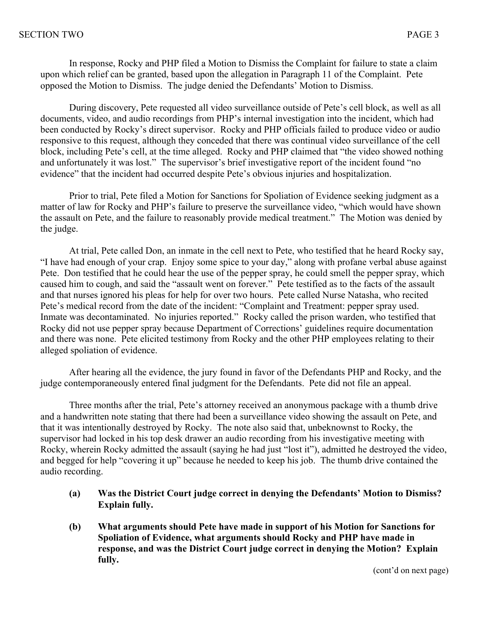In response, Rocky and PHP filed a Motion to Dismiss the Complaint for failure to state a claim upon which relief can be granted, based upon the allegation in Paragraph 11 of the Complaint. Pete opposed the Motion to Dismiss. The judge denied the Defendants' Motion to Dismiss.

During discovery, Pete requested all video surveillance outside of Pete's cell block, as well as all documents, video, and audio recordings from PHP's internal investigation into the incident, which had been conducted by Rocky's direct supervisor. Rocky and PHP officials failed to produce video or audio responsive to this request, although they conceded that there was continual video surveillance of the cell block, including Pete's cell, at the time alleged. Rocky and PHP claimed that "the video showed nothing and unfortunately it was lost." The supervisor's brief investigative report of the incident found "no evidence" that the incident had occurred despite Pete's obvious injuries and hospitalization.

Prior to trial, Pete filed a Motion for Sanctions for Spoliation of Evidence seeking judgment as a matter of law for Rocky and PHP's failure to preserve the surveillance video, "which would have shown the assault on Pete, and the failure to reasonably provide medical treatment." The Motion was denied by the judge.

At trial, Pete called Don, an inmate in the cell next to Pete, who testified that he heard Rocky say, "I have had enough of your crap. Enjoy some spice to your day," along with profane verbal abuse against Pete. Don testified that he could hear the use of the pepper spray, he could smell the pepper spray, which caused him to cough, and said the "assault went on forever." Pete testified as to the facts of the assault and that nurses ignored his pleas for help for over two hours. Pete called Nurse Natasha, who recited Pete's medical record from the date of the incident: "Complaint and Treatment: pepper spray used. Inmate was decontaminated. No injuries reported." Rocky called the prison warden, who testified that Rocky did not use pepper spray because Department of Corrections' guidelines require documentation and there was none. Pete elicited testimony from Rocky and the other PHP employees relating to their alleged spoliation of evidence.

After hearing all the evidence, the jury found in favor of the Defendants PHP and Rocky, and the judge contemporaneously entered final judgment for the Defendants. Pete did not file an appeal.

Three months after the trial, Pete's attorney received an anonymous package with a thumb drive and a handwritten note stating that there had been a surveillance video showing the assault on Pete, and that it was intentionally destroyed by Rocky. The note also said that, unbeknownst to Rocky, the supervisor had locked in his top desk drawer an audio recording from his investigative meeting with Rocky, wherein Rocky admitted the assault (saying he had just "lost it"), admitted he destroyed the video, and begged for help "covering it up" because he needed to keep his job. The thumb drive contained the audio recording.

- **(a) Was the District Court judge correct in denying the Defendants' Motion to Dismiss? Explain fully.**
- **(b) What arguments should Pete have made in support of his Motion for Sanctions for Spoliation of Evidence, what arguments should Rocky and PHP have made in response, and was the District Court judge correct in denying the Motion? Explain fully.**

(cont'd on next page)